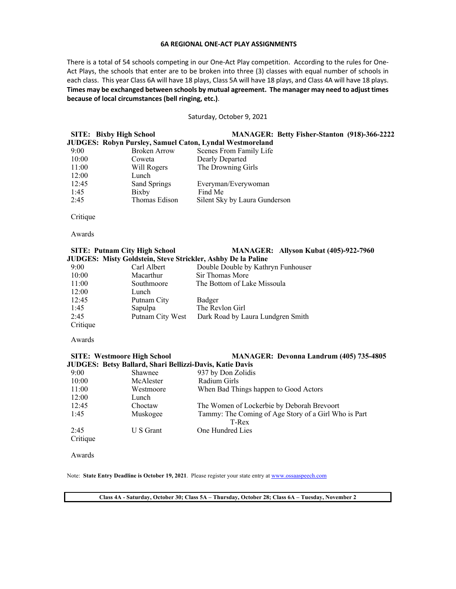### **6A REGIONAL ONE-ACT PLAY ASSIGNMENTS**

There is a total of 54 schools competing in our One-Act Play competition. According to the rules for One-Act Plays, the schools that enter are to be broken into three (3) classes with equal number of schools in each class. This year Class 6A will have 18 plays, Class 5A will have 18 plays, and Class 4A will have 18 plays. **Times may be exchanged between schools by mutual agreement. The manager may need to adjust times because of local circumstances (bell ringing, etc.)**.

## Saturday, October 9, 2021

**SITE: Bixby High School MANAGER: Betty Fisher-Stanton (918)-366-2222 JUDGES: Robyn Pursley, Samuel Caton, Lyndal Westmoreland**

| 9:00  | <b>Broken Arrow</b> | Scenes From Family Life       |
|-------|---------------------|-------------------------------|
| 10:00 | Coweta              | Dearly Departed               |
| 11:00 | Will Rogers         | The Drowning Girls            |
| 12:00 | Lunch               |                               |
| 12:45 | Sand Springs        | Everyman/Everywoman           |
| 1:45  | Bixby               | Find Me                       |
| 2:45  | Thomas Edison       | Silent Sky by Laura Gunderson |
|       |                     |                               |

Critique

Awards

# **SITE: Putnam City High School MANAGER: Allyson Kubat (405)-922-7960 JUDGES: Misty Goldstein, Steve Strickler, Ashby De la Paline**

| 9:00     | Carl Albert      | Double Double by Kathryn Funhouser |
|----------|------------------|------------------------------------|
| 10:00    | Macarthur        | Sir Thomas More                    |
| 11:00    | Southmoore       | The Bottom of Lake Missoula        |
| 12:00    | Lunch            |                                    |
| 12:45    | Putnam City      | Badger                             |
| 1:45     | Sapulpa          | The Revlon Girl                    |
| 2:45     | Putnam City West | Dark Road by Laura Lundgren Smith  |
| Critique |                  |                                    |

Awards

# **SITE: Westmoore High School MANAGER: Devonna Landrum (405) 735-4805 JUDGES: Betsy Ballard, Shari Bellizzi-Davis, Katie Davis**

| 9:00     | Shawnee   | 937 by Don Zolidis                                   |
|----------|-----------|------------------------------------------------------|
| 10:00    | McAlester | Radium Girls                                         |
| 11:00    | Westmoore | When Bad Things happen to Good Actors                |
| 12:00    | Lunch     |                                                      |
| 12:45    | Choctaw   | The Women of Lockerbie by Deborah Brevoort           |
| 1:45     | Muskogee  | Tammy: The Coming of Age Story of a Girl Who is Part |
|          |           | T-Rex                                                |
| 2:45     | U S Grant | One Hundred Lies                                     |
| Critique |           |                                                      |

Awards

Note: **State Entry Deadline is October 19, 2021**. Please register your state entry at www.ossaaspeech.com

**Class 4A - Saturday, October 30; Class 5A – Thursday, October 28; Class 6A – Tuesday, November 2**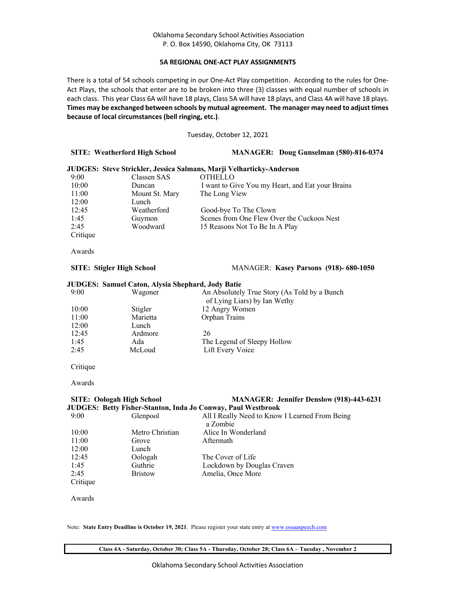# **5A REGIONAL ONE-ACT PLAY ASSIGNMENTS**

There is a total of 54 schools competing in our One-Act Play competition. According to the rules for One-Act Plays, the schools that enter are to be broken into three (3) classes with equal number of schools in each class. This year Class 6A will have 18 plays, Class 5A will have 18 plays, and Class 4A will have 18 plays. **Times may be exchanged between schools by mutual agreement. The manager may need to adjust times because of local circumstances (bell ringing, etc.)**.

Tuesday, October 12, 2021

## **SITE: Weatherford High School MANAGER: Doug Gunselman (580)-816-0374**

# **JUDGES: Steve Strickler, Jessica Salmans, Marji Velharticky-Anderson**

| 9:00     | Classen SAS    | <b>OTHELLO</b>                                   |
|----------|----------------|--------------------------------------------------|
| 10:00    | Duncan         | I want to Give You my Heart, and Eat your Brains |
| 11:00    | Mount St. Mary | The Long View                                    |
| 12:00    | Lunch          |                                                  |
| 12:45    | Weatherford    | Good-bye To The Clown                            |
| 1:45     | Guymon         | Scenes from One Flew Over the Cuckoos Nest       |
| 2:45     | Woodward       | 15 Reasons Not To Be In A Play                   |
| Critique |                |                                                  |

Awards

# **SITE: Stigler High School** MANAGER: **Kasey Parsons (918)- 680-1050**

## **JUDGES: Samuel Caton, Alysia Shephard, Jody Batie**

| 9:00  | Wagoner  | An Absolutely True Story (As Told by a Bunch<br>of Lying Liars) by Ian Wethy |
|-------|----------|------------------------------------------------------------------------------|
| 10:00 | Stigler  | 12 Angry Women                                                               |
| 11:00 | Marietta | Orphan Trains                                                                |
| 12:00 | Lunch    |                                                                              |
| 12:45 | Ardmore  | 26                                                                           |
| 1:45  | Ada      | The Legend of Sleepy Hollow                                                  |
| 2:45  | McLoud   | Lift Every Voice                                                             |
|       |          |                                                                              |

Critique

Awards

# **SITE: Oologah High School MANAGER: Jennifer Denslow (918)-443-6231 JUDGES: Betty Fisher-Stanton, Inda Jo Conway, Paul Westbrook**

| 9:00     | Glenpool        | All I Really Need to Know I Learned From Being |
|----------|-----------------|------------------------------------------------|
|          |                 | a Zombie                                       |
| 10:00    | Metro Christian | Alice In Wonderland                            |
| 11:00    | Grove           | Aftermath                                      |
| 12:00    | Lunch           |                                                |
| 12:45    | Oologah         | The Cover of Life                              |
| 1:45     | Guthrie         | Lockdown by Douglas Craven                     |
| 2:45     | <b>Bristow</b>  | Amelia, Once More                              |
| Critique |                 |                                                |

Awards

Note: **State Entry Deadline is October 19, 2021**. Please register your state entry at www.ossaaspeech.com

**Class 4A - Saturday, October 30; Class 5A - Thursday, October 28; Class 6A – Tuesday , November 2**